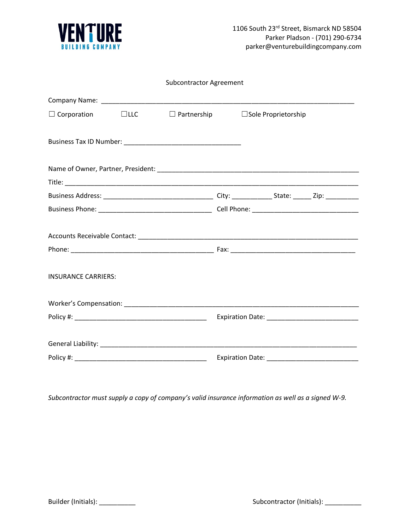

| <b>Subcontractor Agreement</b> |  |                    |  |                            |  |
|--------------------------------|--|--------------------|--|----------------------------|--|
|                                |  |                    |  |                            |  |
| $\Box$ Corporation $\Box$ LLC  |  | $\Box$ Partnership |  | $\Box$ Sole Proprietorship |  |
|                                |  |                    |  |                            |  |
|                                |  |                    |  |                            |  |
|                                |  |                    |  |                            |  |
|                                |  |                    |  |                            |  |
|                                |  |                    |  |                            |  |
|                                |  |                    |  |                            |  |
| <b>INSURANCE CARRIERS:</b>     |  |                    |  |                            |  |
|                                |  |                    |  |                            |  |
|                                |  |                    |  |                            |  |
|                                |  |                    |  |                            |  |
|                                |  |                    |  |                            |  |

*Subcontractor must supply a copy of company's valid insurance information as well as a signed W-9.*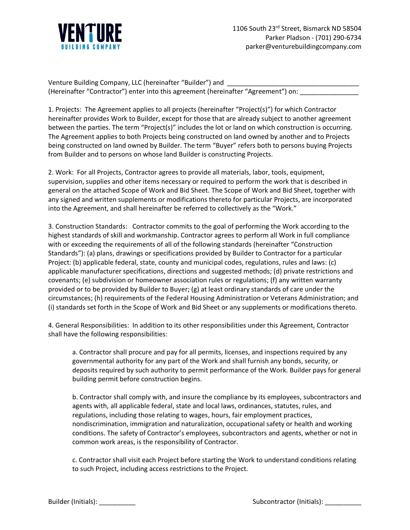

Venture Building Company, LLC (hereinafter "Builder") and (Hereinafter "Contractor") enter into this agreement (hereinafter "Agreement") on:

1. Projects: The Agreement applies to all projects (hereinafter "Project(s)") for which Contractor hereinafter provides Work to Builder, except for those that are already subject to another agreement between the parties. The term "Project(s)" includes the lot or land on which construction is occurring. The Agreement applies to both Projects being constructed on land owned by another and to Projects being constructed on land owned by Builder. The term "Buyer" refers both to persons buying Projects from Builder and to persons on whose land Builder is constructing Projects.

2. Work: For all Projects, Contractor agrees to provide all materials, labor, tools, equipment, supervision, supplies and other items necessary or required to perform the work that is described in general on the attached Scope of Work and Bid Sheet. The Scope of Work and Bid Sheet, together with any signed and written supplements or modifications thereto for particular Projects, are incorporated into the Agreement, and shall hereinafter be referred to collectively as the "Work."

3. Construction Standards: Contractor commits to the goal of performing the Work according to the highest standards of skill and workmanship. Contractor agrees to perform all Work in full compliance with or exceeding the requirements of all of the following standards (hereinafter "Construction Standards"): (a) plans, drawings or specifications provided by Builder to Contractor for a particular Project: (b) applicable federal, state, county and municipal codes, regulations, rules and laws: (c) applicable manufacturer specifications, directions and suggested methods; (d) private restrictions and covenants; (e) subdivision or homeowner association rules or regulations; (f) any written warranty provided or to be provided by Builder to Buyer; (g) at least ordinary standards of care under the circumstances; (h) requirements of the Federal Housing Administration or Veterans Administration; and (i) standards set forth in the Scope of Work and Bid Sheet or any supplements or modifications thereto.

4. General Responsibilities: In addition to its other responsibilities under this Agreement, Contractor shall have the following responsibilities:

a. Contractor shall procure and pay for all permits, licenses, and inspections required by any governmental authority for any part of the Work and shall furnish any bonds, security, or deposits required by such authority to permit performance of the Work. Builder pays for general building permit before construction begins.

b. Contractor shall comply with, and insure the compliance by its employees, subcontractors and agents with, all applicable federal, state and local laws, ordinances, statutes, rules, and regulations, including those relating to wages, hours, fair employment practices, nondiscrimination, immigration and naturalization, occupational safety or health and working conditions. The safety of Contractor's employees, subcontractors and agents, whether or not in common work areas, is the responsibility of Contractor.

c. Contractor shall visit each Project before starting the Work to understand conditions relating to such Project, including access restrictions to the Project.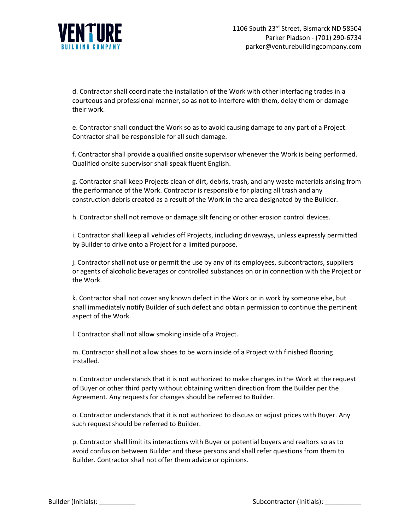

d. Contractor shall coordinate the installation of the Work with other interfacing trades in a courteous and professional manner, so as not to interfere with them, delay them or damage their work.

e. Contractor shall conduct the Work so as to avoid causing damage to any part of a Project. Contractor shall be responsible for all such damage.

f. Contractor shall provide a qualified onsite supervisor whenever the Work is being performed. Qualified onsite supervisor shall speak fluent English.

g. Contractor shall keep Projects clean of dirt, debris, trash, and any waste materials arising from the performance of the Work. Contractor is responsible for placing all trash and any construction debris created as a result of the Work in the area designated by the Builder.

h. Contractor shall not remove or damage silt fencing or other erosion control devices.

i. Contractor shall keep all vehicles off Projects, including driveways, unless expressly permitted by Builder to drive onto a Project for a limited purpose.

j. Contractor shall not use or permit the use by any of its employees, subcontractors, suppliers or agents of alcoholic beverages or controlled substances on or in connection with the Project or the Work.

k. Contractor shall not cover any known defect in the Work or in work by someone else, but shall immediately notify Builder of such defect and obtain permission to continue the pertinent aspect of the Work.

l. Contractor shall not allow smoking inside of a Project.

m. Contractor shall not allow shoes to be worn inside of a Project with finished flooring installed.

n. Contractor understands that it is not authorized to make changes in the Work at the request of Buyer or other third party without obtaining written direction from the Builder per the Agreement. Any requests for changes should be referred to Builder.

o. Contractor understands that it is not authorized to discuss or adjust prices with Buyer. Any such request should be referred to Builder.

p. Contractor shall limit its interactions with Buyer or potential buyers and realtors so as to avoid confusion between Builder and these persons and shall refer questions from them to Builder. Contractor shall not offer them advice or opinions.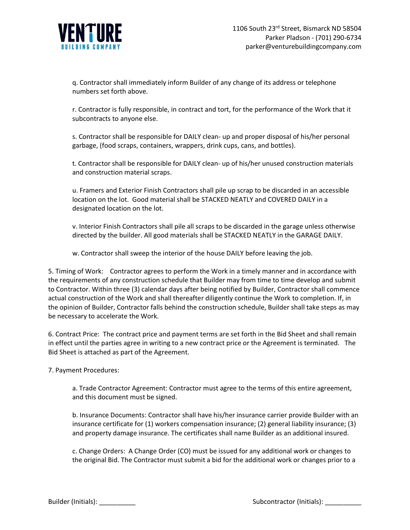

q. Contractor shall immediately inform Builder of any change of its address or telephone numbers set forth above.

r. Contractor is fully responsible, in contract and tort, for the performance of the Work that it subcontracts to anyone else.

s. Contractor shall be responsible for DAILY clean- up and proper disposal of his/her personal garbage, (food scraps, containers, wrappers, drink cups, cans, and bottles).

t. Contractor shall be responsible for DAILY clean- up of his/her unused construction materials and construction material scraps.

u. Framers and Exterior Finish Contractors shall pile up scrap to be discarded in an accessible location on the lot. Good material shall be STACKED NEATLY and COVERED DAILY in a designated location on the lot.

v. Interior Finish Contractors shall pile all scraps to be discarded in the garage unless otherwise directed by the builder. All good materials shall be STACKED NEATLY in the GARAGE DAILY.

w. Contractor shall sweep the interior of the house DAILY before leaving the job.

5. Timing of Work: Contractor agrees to perform the Work in a timely manner and in accordance with the requirements of any construction schedule that Builder may from time to time develop and submit to Contractor. Within three (3) calendar days after being notified by Builder, Contractor shall commence actual construction of the Work and shall thereafter diligently continue the Work to completion. If, in the opinion of Builder, Contractor falls behind the construction schedule, Builder shall take steps as may be necessary to accelerate the Work.

6. Contract Price: The contract price and payment terms are set forth in the Bid Sheet and shall remain in effect until the parties agree in writing to a new contract price or the Agreement is terminated. The Bid Sheet is attached as part of the Agreement.

7. Payment Procedures:

a. Trade Contractor Agreement: Contractor must agree to the terms of this entire agreement, and this document must be signed.

b. Insurance Documents: Contractor shall have his/her insurance carrier provide Builder with an insurance certificate for (1) workers compensation insurance; (2) general liability insurance; (3) and property damage insurance. The certificates shall name Builder as an additional insured.

c. Change Orders: A Change Order (CO) must be issued for any additional work or changes to the original Bid. The Contractor must submit a bid for the additional work or changes prior to a

Builder (Initials): \_\_\_\_\_\_\_\_\_\_ Subcontractor (Initials): \_\_\_\_\_\_\_\_\_\_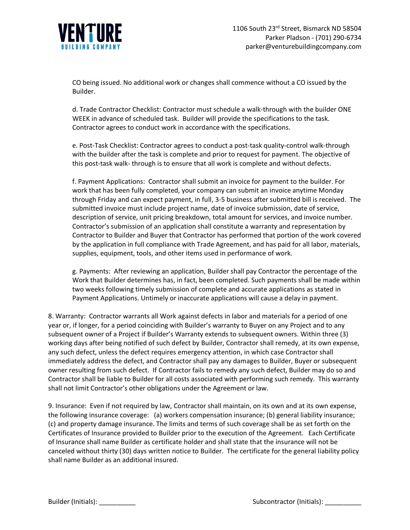

CO being issued. No additional work or changes shall commence without a CO issued by the Builder.

d. Trade Contractor Checklist: Contractor must schedule a walk-through with the builder ONE WEEK in advance of scheduled task. Builder will provide the specifications to the task. Contractor agrees to conduct work in accordance with the specifications.

e. Post-Task Checklist: Contractor agrees to conduct a post-task quality-control walk-through with the builder after the task is complete and prior to request for payment. The objective of this post-task walk- through is to ensure that all work is complete and without defects.

f. Payment Applications: Contractor shall submit an invoice for payment to the builder. For work that has been fully completed, your company can submit an invoice anytime Monday through Friday and can expect payment, in full, 3-5 business after submitted bill is received. The submitted invoice must include project name, date of invoice submission, date of service, description of service, unit pricing breakdown, total amount for services, and invoice number. Contractor's submission of an application shall constitute a warranty and representation by Contractor to Builder and Buyer that Contractor has performed that portion of the work covered by the application in full compliance with Trade Agreement, and has paid for all labor, materials, supplies, equipment, tools, and other items used in performance of work.

g. Payments: After reviewing an application, Builder shall pay Contractor the percentage of the Work that Builder determines has, in fact, been completed. Such payments shall be made within two weeks following timely submission of complete and accurate applications as stated in Payment Applications. Untimely or inaccurate applications will cause a delay in payment.

8. Warranty: Contractor warrants all Work against defects in labor and materials for a period of one year or, if longer, for a period coinciding with Builder's warranty to Buyer on any Project and to any subsequent owner of a Project if Builder's Warranty extends to subsequent owners. Within three (3) working days after being notified of such defect by Builder, Contractor shall remedy, at its own expense, any such defect, unless the defect requires emergency attention, in which case Contractor shall immediately address the defect, and Contractor shall pay any damages to Builder, Buyer or subsequent owner resulting from such defect. If Contractor fails to remedy any such defect, Builder may do so and Contractor shall be liable to Builder for all costs associated with performing such remedy. This warranty shall not limit Contractor's other obligations under the Agreement or law.

9. Insurance: Even if not required by law, Contractor shall maintain, on its own and at its own expense, the following insurance coverage: (a) workers compensation insurance; (b) general liability insurance; (c) and property damage insurance. The limits and terms of such coverage shall be as set forth on the Certificates of Insurance provided to Builder prior to the execution of the Agreement. Each Certificate of Insurance shall name Builder as certificate holder and shall state that the insurance will not be canceled without thirty (30) days written notice to Builder. The certificate for the general liability policy shall name Builder as an additional insured.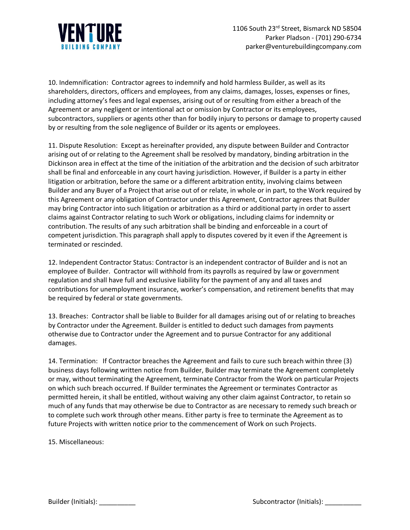

10. Indemnification: Contractor agrees to indemnify and hold harmless Builder, as well as its shareholders, directors, officers and employees, from any claims, damages, losses, expenses or fines, including attorney's fees and legal expenses, arising out of or resulting from either a breach of the Agreement or any negligent or intentional act or omission by Contractor or its employees, subcontractors, suppliers or agents other than for bodily injury to persons or damage to property caused by or resulting from the sole negligence of Builder or its agents or employees.

11. Dispute Resolution: Except as hereinafter provided, any dispute between Builder and Contractor arising out of or relating to the Agreement shall be resolved by mandatory, binding arbitration in the Dickinson area in effect at the time of the initiation of the arbitration and the decision of such arbitrator shall be final and enforceable in any court having jurisdiction. However, if Builder is a party in either litigation or arbitration, before the same or a different arbitration entity, involving claims between Builder and any Buyer of a Project that arise out of or relate, in whole or in part, to the Work required by this Agreement or any obligation of Contractor under this Agreement, Contractor agrees that Builder may bring Contractor into such litigation or arbitration as a third or additional party in order to assert claims against Contractor relating to such Work or obligations, including claims for indemnity or contribution. The results of any such arbitration shall be binding and enforceable in a court of competent jurisdiction. This paragraph shall apply to disputes covered by it even if the Agreement is terminated or rescinded.

12. Independent Contractor Status: Contractor is an independent contractor of Builder and is not an employee of Builder. Contractor will withhold from its payrolls as required by law or government regulation and shall have full and exclusive liability for the payment of any and all taxes and contributions for unemployment insurance, worker's compensation, and retirement benefits that may be required by federal or state governments.

13. Breaches: Contractor shall be liable to Builder for all damages arising out of or relating to breaches by Contractor under the Agreement. Builder is entitled to deduct such damages from payments otherwise due to Contractor under the Agreement and to pursue Contractor for any additional damages.

14. Termination: If Contractor breaches the Agreement and fails to cure such breach within three (3) business days following written notice from Builder, Builder may terminate the Agreement completely or may, without terminating the Agreement, terminate Contractor from the Work on particular Projects on which such breach occurred. If Builder terminates the Agreement or terminates Contractor as permitted herein, it shall be entitled, without waiving any other claim against Contractor, to retain so much of any funds that may otherwise be due to Contractor as are necessary to remedy such breach or to complete such work through other means. Either party is free to terminate the Agreement as to future Projects with written notice prior to the commencement of Work on such Projects.

15. Miscellaneous: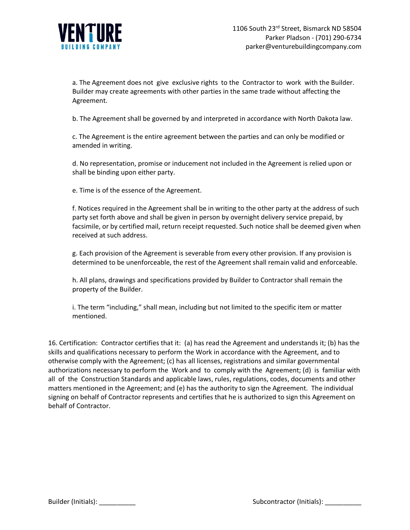

a. The Agreement does not give exclusive rights to the Contractor to work with the Builder. Builder may create agreements with other parties in the same trade without affecting the Agreement.

b. The Agreement shall be governed by and interpreted in accordance with North Dakota law.

c. The Agreement is the entire agreement between the parties and can only be modified or amended in writing.

d. No representation, promise or inducement not included in the Agreement is relied upon or shall be binding upon either party.

e. Time is of the essence of the Agreement.

f. Notices required in the Agreement shall be in writing to the other party at the address of such party set forth above and shall be given in person by overnight delivery service prepaid, by facsimile, or by certified mail, return receipt requested. Such notice shall be deemed given when received at such address.

g. Each provision of the Agreement is severable from every other provision. If any provision is determined to be unenforceable, the rest of the Agreement shall remain valid and enforceable.

h. All plans, drawings and specifications provided by Builder to Contractor shall remain the property of the Builder.

i. The term "including," shall mean, including but not limited to the specific item or matter mentioned.

16. Certification: Contractor certifies that it: (a) has read the Agreement and understands it; (b) has the skills and qualifications necessary to perform the Work in accordance with the Agreement, and to otherwise comply with the Agreement; (c) has all licenses, registrations and similar governmental authorizations necessary to perform the Work and to comply with the Agreement; (d) is familiar with all of the Construction Standards and applicable laws, rules, regulations, codes, documents and other matters mentioned in the Agreement; and (e) has the authority to sign the Agreement. The individual signing on behalf of Contractor represents and certifies that he is authorized to sign this Agreement on behalf of Contractor.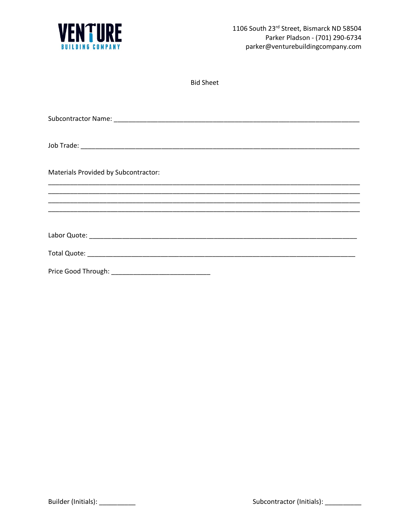

| Materials Provided by Subcontractor: |
|--------------------------------------|
|                                      |
|                                      |
|                                      |
|                                      |
|                                      |
|                                      |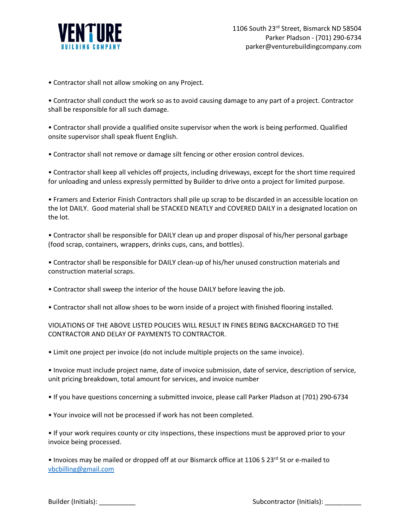

• Contractor shall not allow smoking on any Project.

• Contractor shall conduct the work so as to avoid causing damage to any part of a project. Contractor shall be responsible for all such damage.

• Contractor shall provide a qualified onsite supervisor when the work is being performed. Qualified onsite supervisor shall speak fluent English.

• Contractor shall not remove or damage silt fencing or other erosion control devices.

• Contractor shall keep all vehicles off projects, including driveways, except for the short time required for unloading and unless expressly permitted by Builder to drive onto a project for limited purpose.

• Framers and Exterior Finish Contractors shall pile up scrap to be discarded in an accessible location on the lot DAILY. Good material shall be STACKED NEATLY and COVERED DAILY in a designated location on the lot.

• Contractor shall be responsible for DAILY clean up and proper disposal of his/her personal garbage (food scrap, containers, wrappers, drinks cups, cans, and bottles).

• Contractor shall be responsible for DAILY clean-up of his/her unused construction materials and construction material scraps.

- Contractor shall sweep the interior of the house DAILY before leaving the job.
- Contractor shall not allow shoes to be worn inside of a project with finished flooring installed.

VIOLATIONS OF THE ABOVE LISTED POLICIES WILL RESULT IN FINES BEING BACKCHARGED TO THE CONTRACTOR AND DELAY OF PAYMENTS TO CONTRACTOR.

• Limit one project per invoice (do not include multiple projects on the same invoice).

• Invoice must include project name, date of invoice submission, date of service, description of service, unit pricing breakdown, total amount for services, and invoice number

- If you have questions concerning a submitted invoice, please call Parker Pladson at (701) 290-6734
- Your invoice will not be processed if work has not been completed.

• If your work requires county or city inspections, these inspections must be approved prior to your invoice being processed.

• Invoices may be mailed or dropped off at our Bismarck office at 1106 S 23rd St or e-mailed to [vbcbilling@gmail.com](mailto:vbcbilling@gmail.com)